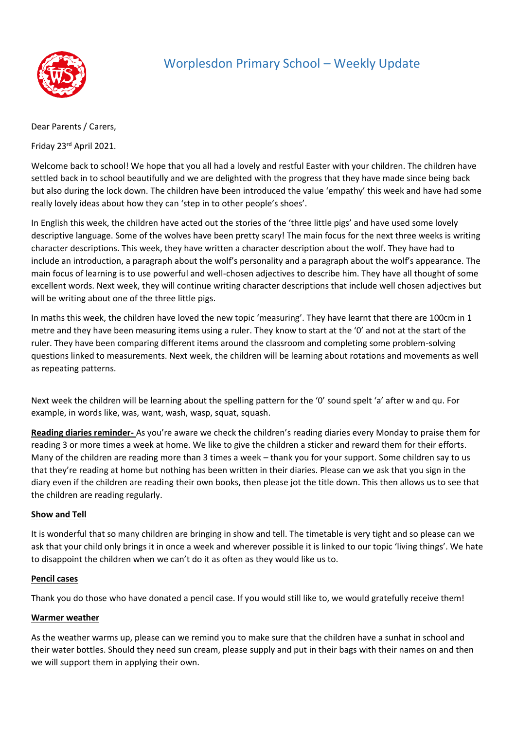

# Worplesdon Primary School – Weekly Update

Dear Parents / Carers,

Friday 23rd April 2021.

Welcome back to school! We hope that you all had a lovely and restful Easter with your children. The children have settled back in to school beautifully and we are delighted with the progress that they have made since being back but also during the lock down. The children have been introduced the value 'empathy' this week and have had some really lovely ideas about how they can 'step in to other people's shoes'.

In English this week, the children have acted out the stories of the 'three little pigs' and have used some lovely descriptive language. Some of the wolves have been pretty scary! The main focus for the next three weeks is writing character descriptions. This week, they have written a character description about the wolf. They have had to include an introduction, a paragraph about the wolf's personality and a paragraph about the wolf's appearance. The main focus of learning is to use powerful and well-chosen adjectives to describe him. They have all thought of some excellent words. Next week, they will continue writing character descriptions that include well chosen adjectives but will be writing about one of the three little pigs.

In maths this week, the children have loved the new topic 'measuring'. They have learnt that there are 100cm in 1 metre and they have been measuring items using a ruler. They know to start at the '0' and not at the start of the ruler. They have been comparing different items around the classroom and completing some problem-solving questions linked to measurements. Next week, the children will be learning about rotations and movements as well as repeating patterns.

Next week the children will be learning about the spelling pattern for the '0' sound spelt 'a' after w and qu. For example, in words like, was, want, wash, wasp, squat, squash.

**Reading diaries reminder-** As you're aware we check the children's reading diaries every Monday to praise them for reading 3 or more times a week at home. We like to give the children a sticker and reward them for their efforts. Many of the children are reading more than 3 times a week – thank you for your support. Some children say to us that they're reading at home but nothing has been written in their diaries. Please can we ask that you sign in the diary even if the children are reading their own books, then please jot the title down. This then allows us to see that the children are reading regularly.

### **Show and Tell**

It is wonderful that so many children are bringing in show and tell. The timetable is very tight and so please can we ask that your child only brings it in once a week and wherever possible it is linked to our topic 'living things'. We hate to disappoint the children when we can't do it as often as they would like us to.

### **Pencil cases**

Thank you do those who have donated a pencil case. If you would still like to, we would gratefully receive them!

### **Warmer weather**

As the weather warms up, please can we remind you to make sure that the children have a sunhat in school and their water bottles. Should they need sun cream, please supply and put in their bags with their names on and then we will support them in applying their own.